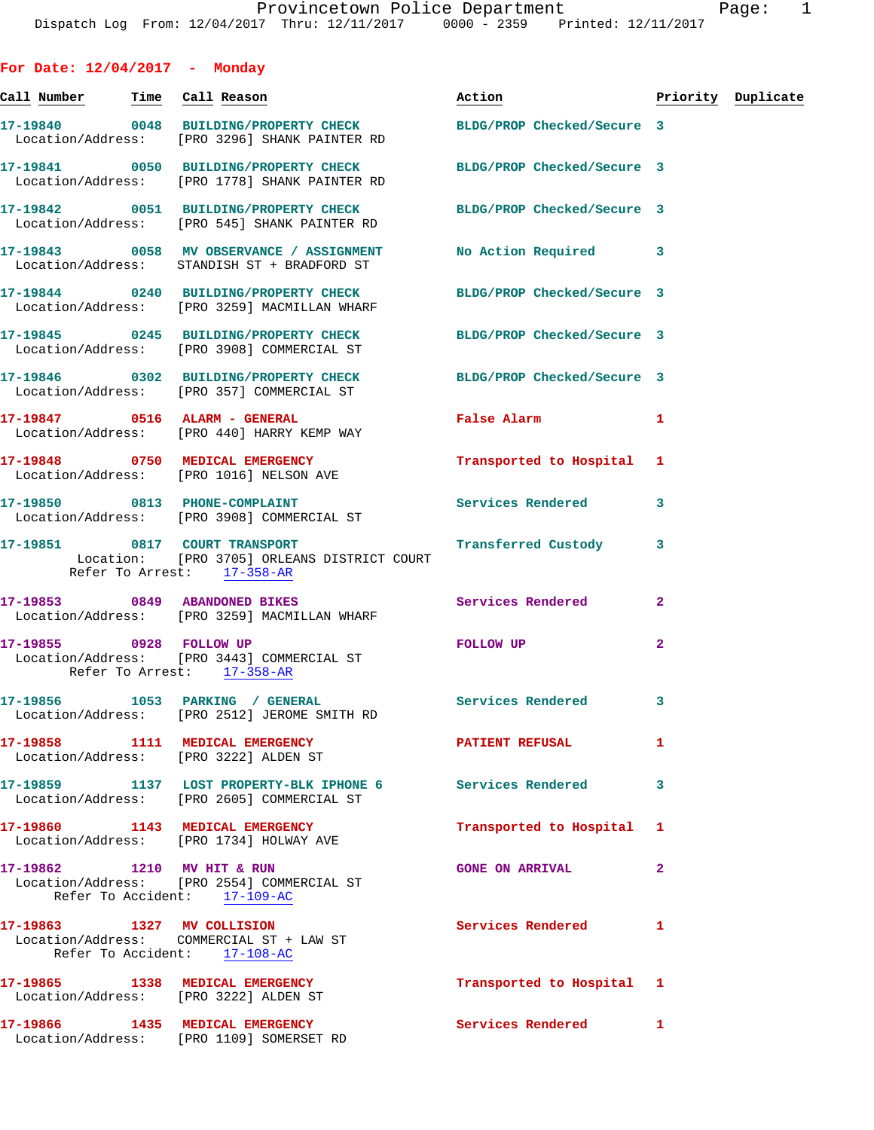| For Date: $12/04/2017$ - Monday                            |  |                                                                                                                  |                            |              |                    |
|------------------------------------------------------------|--|------------------------------------------------------------------------------------------------------------------|----------------------------|--------------|--------------------|
|                                                            |  |                                                                                                                  | Action                     |              | Priority Duplicate |
|                                                            |  | 17-19840 0048 BUILDING/PROPERTY CHECK<br>Location/Address: [PRO 3296] SHANK PAINTER RD                           | BLDG/PROP Checked/Secure 3 |              |                    |
|                                                            |  | 17-19841 0050 BUILDING/PROPERTY CHECK<br>Location/Address: [PRO 1778] SHANK PAINTER RD                           | BLDG/PROP Checked/Secure 3 |              |                    |
|                                                            |  | 17-19842 0051 BUILDING/PROPERTY CHECK BLDG/PROP Checked/Secure 3<br>Location/Address: [PRO 545] SHANK PAINTER RD |                            |              |                    |
|                                                            |  | 17-19843 0058 MV OBSERVANCE / ASSIGNMENT<br>Location/Address: STANDISH ST + BRADFORD ST                          | No Action Required 3       |              |                    |
|                                                            |  | 17-19844 0240 BUILDING/PROPERTY CHECK<br>Location/Address: [PRO 3259] MACMILLAN WHARF                            | BLDG/PROP Checked/Secure 3 |              |                    |
|                                                            |  | 17-19845 0245 BUILDING/PROPERTY CHECK<br>Location/Address: [PRO 3908] COMMERCIAL ST                              | BLDG/PROP Checked/Secure 3 |              |                    |
|                                                            |  | 17-19846 0302 BUILDING/PROPERTY CHECK BLDG/PROP Checked/Secure 3<br>Location/Address: [PRO 357] COMMERCIAL ST    |                            |              |                    |
|                                                            |  | 17-19847 0516 ALARM - GENERAL<br>Location/Address: [PRO 440] HARRY KEMP WAY                                      | <b>False Alarm</b>         | $\mathbf{1}$ |                    |
|                                                            |  | 17-19848 0750 MEDICAL EMERGENCY<br>Location/Address: [PRO 1016] NELSON AVE                                       | Transported to Hospital 1  |              |                    |
|                                                            |  | 17-19850 0813 PHONE-COMPLAINT<br>Location/Address: [PRO 3908] COMMERCIAL ST                                      | Services Rendered 3        |              |                    |
|                                                            |  | 17-19851 0817 COURT TRANSPORT<br>Location: [PRO 3705] ORLEANS DISTRICT COURT<br>Refer To Arrest: 17-358-AR       | Transferred Custody        | 3            |                    |
| 17-19853 0849 ABANDONED BIKES                              |  | Location/Address: [PRO 3259] MACMILLAN WHARF                                                                     | Services Rendered          | 2            |                    |
| Refer To Arrest: 17-358-AR                                 |  | 17-19855 0928 FOLLOW UP<br>Location/Address: [PRO 3443] COMMERCIAL ST                                            | FOLLOW UP                  | $\mathbf{2}$ |                    |
|                                                            |  | 17-19856 1053 PARKING / GENERAL Services Rendered 3<br>Location/Address: [PRO 2512] JEROME SMITH RD              |                            |              |                    |
| Location/Address: [PRO 3222] ALDEN ST                      |  | 17-19858 1111 MEDICAL EMERGENCY                                                                                  | <b>PATIENT REFUSAL</b>     | 1            |                    |
|                                                            |  | 17-19859 1137 LOST PROPERTY-BLK IPHONE 6 Services Rendered<br>Location/Address: [PRO 2605] COMMERCIAL ST         |                            | 3            |                    |
|                                                            |  | 17-19860 1143 MEDICAL EMERGENCY<br>Location/Address: [PRO 1734] HOLWAY AVE                                       | Transported to Hospital 1  |              |                    |
| 17-19862 1210 MV HIT & RUN<br>Refer To Accident: 17-109-AC |  | Location/Address: [PRO 2554] COMMERCIAL ST                                                                       | <b>GONE ON ARRIVAL</b>     | $\mathbf{2}$ |                    |
|                                                            |  | 17-19863 1327 MV COLLISION<br>Location/Address: COMMERCIAL ST + LAW ST<br>Refer To Accident: 17-108-AC           | Services Rendered          | 1            |                    |
| Location/Address: [PRO 3222] ALDEN ST                      |  | 17-19865 1338 MEDICAL EMERGENCY                                                                                  | Transported to Hospital 1  |              |                    |
|                                                            |  | 17-19866 1435 MEDICAL EMERGENCY<br>Location/Address: [PRO 1109] SOMERSET RD                                      | Services Rendered 1        |              |                    |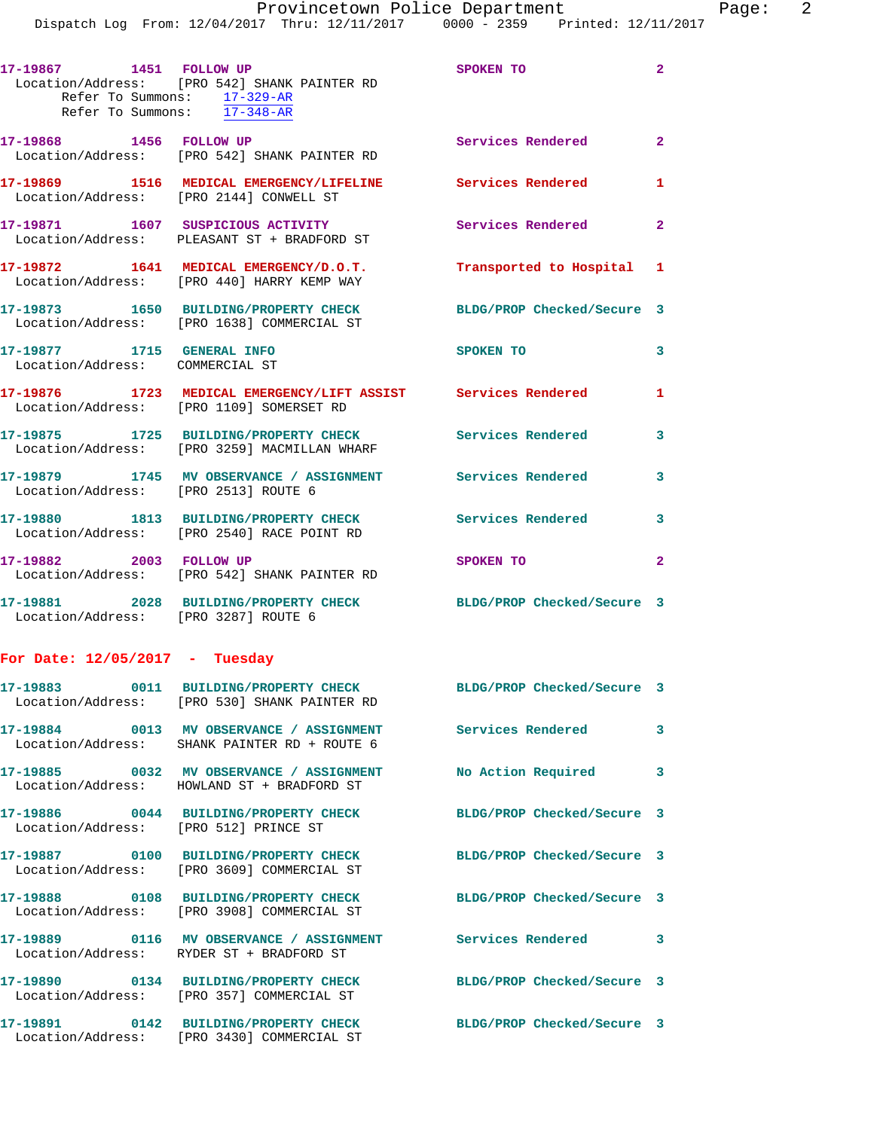| Refer To Summons: 17-329-AR<br>Refer To Summons: 17-348-AR    | 17-19867 1451 FOLLOW UP<br>Location/Address: [PRO 542] SHANK PAINTER RD                                   | SPOKEN TO                  | $\mathbf{2}$ |
|---------------------------------------------------------------|-----------------------------------------------------------------------------------------------------------|----------------------------|--------------|
| 17-19868 1456 FOLLOW UP                                       | Location/Address: [PRO 542] SHANK PAINTER RD                                                              | Services Rendered 2        |              |
|                                                               | 17-19869 1516 MEDICAL EMERGENCY/LIFELINE Services Rendered<br>Location/Address: [PRO 2144] CONWELL ST     |                            | $\mathbf{1}$ |
|                                                               | 17-19871 1607 SUSPICIOUS ACTIVITY<br>Location/Address: PLEASANT ST + BRADFORD ST                          | Services Rendered 2        |              |
|                                                               | 17-19872 1641 MEDICAL EMERGENCY/D.O.T.<br>Location/Address: [PRO 440] HARRY KEMP WAY                      | Transported to Hospital 1  |              |
|                                                               | 17-19873 1650 BUILDING/PROPERTY CHECK<br>Location/Address: [PRO 1638] COMMERCIAL ST                       | BLDG/PROP Checked/Secure 3 |              |
| 17-19877 1715 GENERAL INFO<br>Location/Address: COMMERCIAL ST |                                                                                                           | SPOKEN TO                  | 3            |
|                                                               | 17-19876 1723 MEDICAL EMERGENCY/LIFT ASSIST Services Rendered<br>Location/Address: [PRO 1109] SOMERSET RD |                            | 1            |
|                                                               | 17-19875 1725 BUILDING/PROPERTY CHECK<br>Location/Address: [PRO 3259] MACMILLAN WHARF                     | <b>Services Rendered</b>   | 3            |
| Location/Address: [PRO 2513] ROUTE 6                          | 17-19879 1745 MV OBSERVANCE / ASSIGNMENT Services Rendered                                                |                            | 3            |
|                                                               | 17-19880 1813 BUILDING/PROPERTY CHECK<br>Location/Address: [PRO 2540] RACE POINT RD                       | <b>Services Rendered</b>   | 3            |
| 17-19882 2003 FOLLOW UP                                       | Location/Address: [PRO 542] SHANK PAINTER RD                                                              | SPOKEN TO                  | $\mathbf{2}$ |
| Location/Address: [PRO 3287] ROUTE 6                          | 17-19881 2028 BUILDING/PROPERTY CHECK BLDG/PROP Checked/Secure 3                                          |                            |              |
| For Date: $12/05/2017$ - Tuesday                              |                                                                                                           |                            |              |
| 17-19883<br>Location/Address:                                 | 0011 BUILDING/PROPERTY CHECK<br>[PRO 530] SHANK PAINTER RD                                                | BLDG/PROP Checked/Secure 3 |              |
|                                                               | 17-19884 0013 MV OBSERVANCE / ASSIGNMENT<br>Location/Address: SHANK PAINTER RD + ROUTE 6                  | <b>Services Rendered</b>   | 3            |
| Location/Address:                                             | HOWLAND ST + BRADFORD ST                                                                                  | No Action Required         | 3            |
| Location/Address:                                             | 17-19886 0044 BUILDING/PROPERTY CHECK<br>[PRO 512] PRINCE ST                                              | BLDG/PROP Checked/Secure 3 |              |
| 17-19887<br>0100                                              | <b>BUILDING/PROPERTY CHECK</b>                                                                            | BLDG/PROP Checked/Secure 3 |              |

- 
- 
- 
- 
- 
- 
- Location/Address: [PRO 3609] COMMERCIAL ST
	-
- Location/Address: [PRO 3908] COMMERCIAL ST
- **17-19889 0116 MV OBSERVANCE / ASSIGNMENT Services Rendered 3**  Location/Address: RYDER ST + BRADFORD ST
- **17-19890 0134 BUILDING/PROPERTY CHECK BLDG/PROP Checked/Secure 3**  Location/Address: [PRO 357] COMMERCIAL ST
- **17-19891 0142 BUILDING/PROPERTY CHECK BLDG/PROP Checked/Secure 3**  Location/Address: [PRO 3430] COMMERCIAL ST
- **17-19888 0108 BUILDING/PROPERTY CHECK BLDG/PROP Checked/Secure 3** 
	-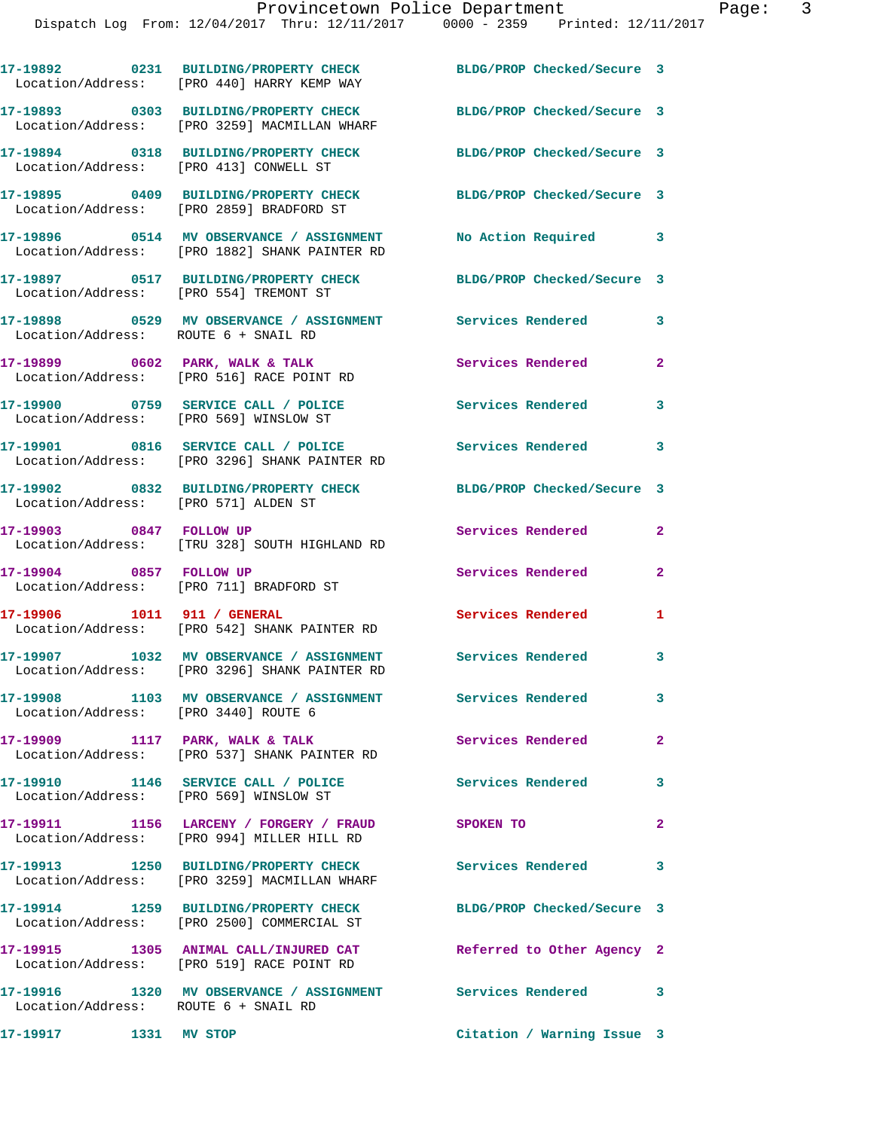|                                        | 17-19892 0231 BUILDING/PROPERTY CHECK<br>Location/Address: [PRO 440] HARRY KEMP WAY                            | BLDG/PROP Checked/Secure 3 |                         |
|----------------------------------------|----------------------------------------------------------------------------------------------------------------|----------------------------|-------------------------|
|                                        | 17-19893 0303 BUILDING/PROPERTY CHECK<br>Location/Address: [PRO 3259] MACMILLAN WHARF                          | BLDG/PROP Checked/Secure 3 |                         |
| Location/Address: [PRO 413] CONWELL ST | 17-19894 0318 BUILDING/PROPERTY CHECK                                                                          | BLDG/PROP Checked/Secure 3 |                         |
|                                        | 17-19895 0409 BUILDING/PROPERTY CHECK<br>Location/Address: [PRO 2859] BRADFORD ST                              | BLDG/PROP Checked/Secure 3 |                         |
|                                        | 17-19896 0514 MV OBSERVANCE / ASSIGNMENT<br>Location/Address: [PRO 1882] SHANK PAINTER RD                      | No Action Required 3       |                         |
| Location/Address: [PRO 554] TREMONT ST | 17-19897 0517 BUILDING/PROPERTY CHECK                                                                          | BLDG/PROP Checked/Secure 3 |                         |
| Location/Address: ROUTE 6 + SNAIL RD   | 17-19898 0529 MV OBSERVANCE / ASSIGNMENT Services Rendered                                                     |                            | 3                       |
|                                        | 17-19899 0602 PARK, WALK & TALK<br>Location/Address: [PRO 516] RACE POINT RD                                   | Services Rendered          | $\mathbf{2}$            |
| Location/Address: [PRO 569] WINSLOW ST | 17-19900 0759 SERVICE CALL / POLICE                                                                            | <b>Services Rendered</b>   | 3                       |
|                                        | 17-19901 0816 SERVICE CALL / POLICE<br>Location/Address: [PRO 3296] SHANK PAINTER RD                           | Services Rendered 3        |                         |
| Location/Address: [PRO 571] ALDEN ST   | 17-19902 0832 BUILDING/PROPERTY CHECK                                                                          | BLDG/PROP Checked/Secure 3 |                         |
| 17-19903 0847 FOLLOW UP                | Location/Address: [TRU 328] SOUTH HIGHLAND RD                                                                  | Services Rendered          | $\overline{2}$          |
| 17-19904 0857 FOLLOW UP                | Location/Address: [PRO 711] BRADFORD ST                                                                        | Services Rendered          | $\mathbf{2}$            |
| 17-19906 1011 911 / GENERAL            | Location/Address: [PRO 542] SHANK PAINTER RD                                                                   | Services Rendered          | 1                       |
|                                        | 17-19907 1032 MV OBSERVANCE / ASSIGNMENT Services Rendered<br>Location/Address: [PRO 3296] SHANK PAINTER RD    |                            | $\overline{\mathbf{3}}$ |
| Location/Address: [PRO 3440] ROUTE 6   | 17-19908 1103 MV OBSERVANCE / ASSIGNMENT                                                                       | <b>Services Rendered</b>   |                         |
|                                        | 17-19909 1117 PARK, WALK & TALK<br>Location/Address: [PRO 537] SHANK PAINTER RD                                | Services Rendered          | $\sim$ 2                |
|                                        | 17-19910 1146 SERVICE CALL / POLICE<br>Location/Address: [PRO 569] WINSLOW ST                                  | Services Rendered 3        |                         |
|                                        | 17-19911 1156 LARCENY / FORGERY / FRAUD SPOKEN TO<br>Location/Address: [PRO 994] MILLER HILL RD                |                            | $\overline{2}$          |
|                                        | 17-19913 1250 BUILDING/PROPERTY CHECK Services Rendered 3<br>Location/Address: [PRO 3259] MACMILLAN WHARF      |                            |                         |
|                                        | 17-19914 1259 BUILDING/PROPERTY CHECK<br>Location/Address: [PRO 2500] COMMERCIAL ST                            | BLDG/PROP Checked/Secure 3 |                         |
|                                        | 17-19915 1305 ANIMAL CALL/INJURED CAT Referred to Other Agency 2<br>Location/Address: [PRO 519] RACE POINT RD  |                            |                         |
| Location/Address: ROUTE 6 + SNAIL RD   | 17-19916             1320    MV  OBSERVANCE  /  ASSIGNMENT                 Services  Rendered                3 |                            |                         |
| 17-19917 1331 MV STOP                  |                                                                                                                | Citation / Warning Issue 3 |                         |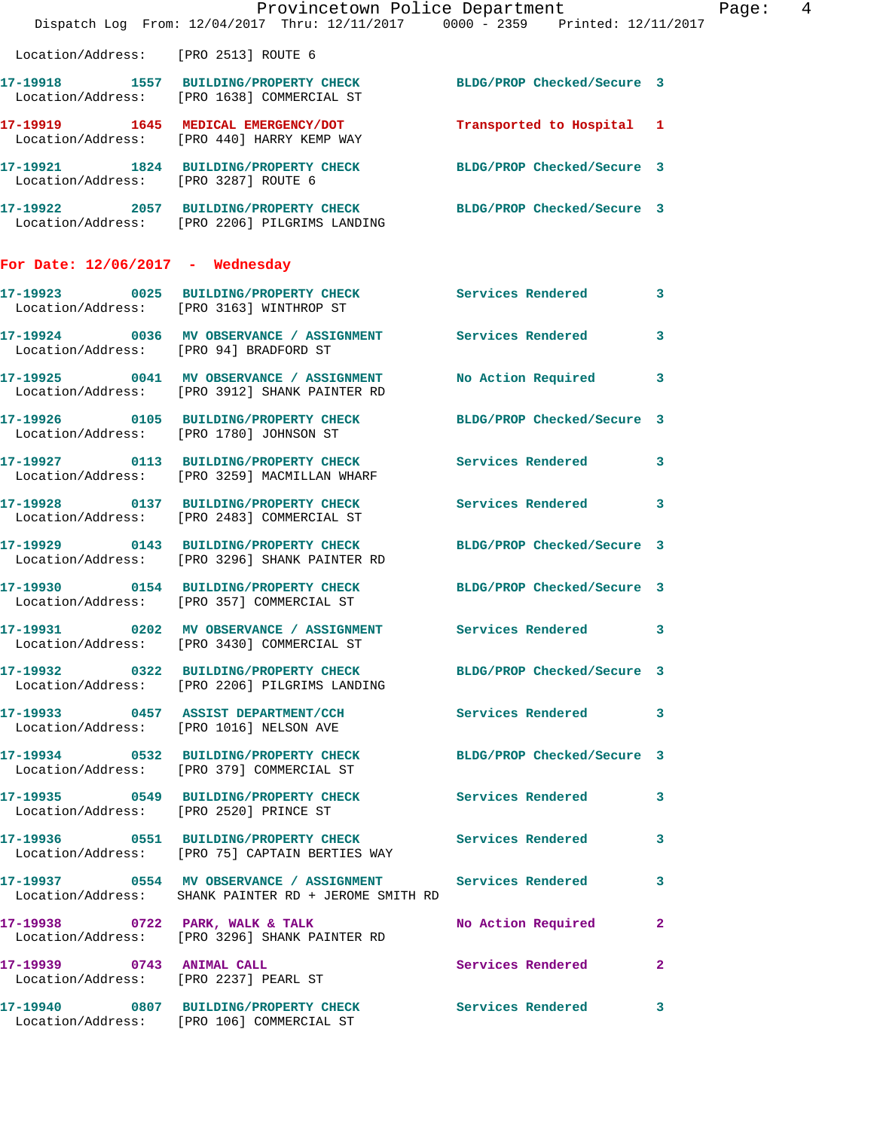|                                      | Provincetown Police Department<br>Dispatch Log From: 12/04/2017 Thru: 12/11/2017 0000 - 2359 Printed: 12/11/2017   |                          | Page: 4      |
|--------------------------------------|--------------------------------------------------------------------------------------------------------------------|--------------------------|--------------|
| Location/Address: [PRO 2513] ROUTE 6 |                                                                                                                    |                          |              |
|                                      | 17-19918 1557 BUILDING/PROPERTY CHECK BLDG/PROP Checked/Secure 3<br>Location/Address: [PRO 1638] COMMERCIAL ST     |                          |              |
|                                      | 17-19919 1645 MEDICAL EMERGENCY/DOT Transported to Hospital 1<br>Location/Address: [PRO 440] HARRY KEMP WAY        |                          |              |
| Location/Address: [PRO 3287] ROUTE 6 | 17-19921 1824 BUILDING/PROPERTY CHECK BLDG/PROP Checked/Secure 3                                                   |                          |              |
|                                      | 17-19922 2057 BUILDING/PROPERTY CHECK BLDG/PROP Checked/Secure 3<br>Location/Address: [PRO 2206] PILGRIMS LANDING  |                          |              |
| For Date: $12/06/2017$ - Wednesday   |                                                                                                                    |                          |              |
|                                      | 17-19923 0025 BUILDING/PROPERTY CHECK Services Rendered 3<br>Location/Address: [PRO 3163] WINTHROP ST              |                          |              |
|                                      | 17-19924 0036 MV OBSERVANCE / ASSIGNMENT Services Rendered 3<br>Location/Address: [PRO 94] BRADFORD ST             |                          |              |
|                                      | 17-19925 0041 MV OBSERVANCE / ASSIGNMENT<br>Location/Address: [PRO 3912] SHANK PAINTER RD                          | No Action Required 3     |              |
|                                      | 17-19926 0105 BUILDING/PROPERTY CHECK BLDG/PROP Checked/Secure 3<br>Location/Address: [PRO 1780] JOHNSON ST        |                          |              |
|                                      | 17-19927 0113 BUILDING/PROPERTY CHECK Services Rendered 3<br>Location/Address: [PRO 3259] MACMILLAN WHARF          |                          |              |
|                                      | 17-19928 0137 BUILDING/PROPERTY CHECK Services Rendered 3<br>Location/Address: [PRO 2483] COMMERCIAL ST            |                          |              |
|                                      | 17-19929 0143 BUILDING/PROPERTY CHECK BLDG/PROP Checked/Secure 3<br>Location/Address: [PRO 3296] SHANK PAINTER RD  |                          |              |
|                                      | 17-19930 0154 BUILDING/PROPERTY CHECK BLDG/PROP Checked/Secure 3<br>Location/Address: [PRO 357] COMMERCIAL ST      |                          |              |
|                                      | 17-19931 6202 MV OBSERVANCE / ASSIGNMENT Services Rendered 3<br>Location/Address: [PRO 3430] COMMERCIAL ST         |                          |              |
|                                      | 17-19932 0322 BUILDING/PROPERTY CHECK BLDG/PROP Checked/Secure 3<br>Location/Address: [PRO 2206] PILGRIMS LANDING  |                          |              |
|                                      | 17-19933 0457 ASSIST DEPARTMENT/CCH Services Rendered 3<br>Location/Address: [PRO 1016] NELSON AVE                 |                          |              |
|                                      | 17-19934 0532 BUILDING/PROPERTY CHECK BLDG/PROP Checked/Secure 3<br>Location/Address: [PRO 379] COMMERCIAL ST      |                          |              |
|                                      | 17-19935 0549 BUILDING/PROPERTY CHECK Services Rendered 3<br>Location/Address: [PRO 2520] PRINCE ST                |                          |              |
|                                      | 17-19936 0551 BUILDING/PROPERTY CHECK Services Rendered<br>Location/Address: [PRO 75] CAPTAIN BERTIES WAY          |                          | 3            |
|                                      | 17-19937 0554 MV OBSERVANCE / ASSIGNMENT Services Rendered<br>Location/Address: SHANK PAINTER RD + JEROME SMITH RD |                          | 3            |
|                                      | 17-19938 0722 PARK, WALK & TALK<br>Location/Address: [PRO 3296] SHANK PAINTER RD                                   | No Action Required       | $\mathbf{2}$ |
|                                      | 17-19939 0743 ANIMAL CALL<br>Location/Address: [PRO 2237] PEARL ST                                                 | <b>Services Rendered</b> | $\mathbf{2}$ |
|                                      | 17-19940 0807 BUILDING/PROPERTY CHECK Services Rendered 3<br>Location/Address: [PRO 106] COMMERCIAL ST             |                          |              |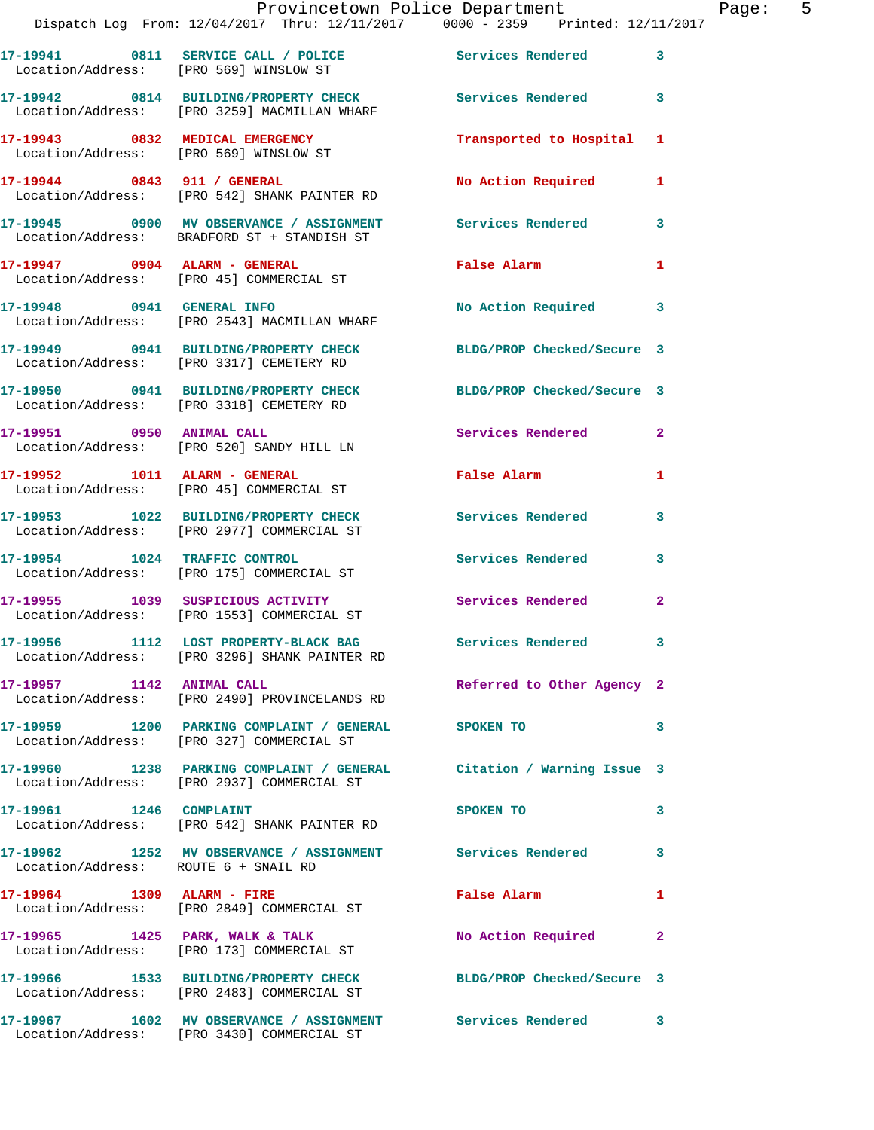|                                      | 17-19941 0811 SERVICE CALL / POLICE<br>Location/Address: [PRO 569] WINSLOW ST                                      | Services Rendered 3        |                         |
|--------------------------------------|--------------------------------------------------------------------------------------------------------------------|----------------------------|-------------------------|
|                                      | 17-19942 0814 BUILDING/PROPERTY CHECK<br>Location/Address: [PRO 3259] MACMILLAN WHARF                              | <b>Services Rendered</b>   | $\overline{\mathbf{3}}$ |
| 17-19943 0832 MEDICAL EMERGENCY      | Location/Address: [PRO 569] WINSLOW ST                                                                             | Transported to Hospital 1  |                         |
|                                      | 17-19944 0843 911 / GENERAL<br>Location/Address: [PRO 542] SHANK PAINTER RD                                        | No Action Required         | 1                       |
|                                      | 17-19945 0900 MV OBSERVANCE / ASSIGNMENT<br>Location/Address: BRADFORD ST + STANDISH ST                            | <b>Services Rendered</b>   | 3                       |
|                                      | 17-19947 0904 ALARM - GENERAL<br>Location/Address: [PRO 45] COMMERCIAL ST                                          | <b>False Alarm</b>         | 1                       |
| 17-19948 0941 GENERAL INFO           | Location/Address: [PRO 2543] MACMILLAN WHARF                                                                       | No Action Required 3       |                         |
|                                      | 17-19949 0941 BUILDING/PROPERTY CHECK<br>Location/Address: [PRO 3317] CEMETERY RD                                  | BLDG/PROP Checked/Secure 3 |                         |
|                                      | 17-19950 0941 BUILDING/PROPERTY CHECK<br>Location/Address: [PRO 3318] CEMETERY RD                                  | BLDG/PROP Checked/Secure 3 |                         |
|                                      | 17-19951 0950 ANIMAL CALL<br>Location/Address: [PRO 520] SANDY HILL LN                                             | Services Rendered          | $\mathbf{2}$            |
| 17-19952 1011 ALARM - GENERAL        | Location/Address: [PRO 45] COMMERCIAL ST                                                                           | <b>False Alarm</b>         | 1                       |
|                                      | 17-19953 1022 BUILDING/PROPERTY CHECK<br>Location/Address: [PRO 2977] COMMERCIAL ST                                | <b>Services Rendered</b>   | 3                       |
| 17-19954 1024 TRAFFIC CONTROL        | Location/Address: [PRO 175] COMMERCIAL ST                                                                          | Services Rendered          | 3                       |
|                                      | 17-19955 1039 SUSPICIOUS ACTIVITY<br>Location/Address: [PRO 1553] COMMERCIAL ST                                    | <b>Services Rendered</b>   | $\mathbf{2}$            |
|                                      | 17-19956 1112 LOST PROPERTY-BLACK BAG<br>Location/Address: [PRO 3296] SHANK PAINTER RD                             | <b>Services Rendered</b>   | 3                       |
| 17-19957 1142 ANIMAL CALL            | Location/Address: [PRO 2490] PROVINCELANDS RD                                                                      | Referred to Other Agency 2 |                         |
|                                      | 17-19959 1200 PARKING COMPLAINT / GENERAL SPOKEN TO<br>Location/Address: [PRO 327] COMMERCIAL ST                   |                            | 3                       |
|                                      | 17-19960 1238 PARKING COMPLAINT / GENERAL Citation / Warning Issue 3<br>Location/Address: [PRO 2937] COMMERCIAL ST |                            |                         |
| 17-19961 1246 COMPLAINT              | Location/Address: [PRO 542] SHANK PAINTER RD                                                                       | SPOKEN TO                  | 3                       |
| Location/Address: ROUTE 6 + SNAIL RD | 17-19962 1252 MV OBSERVANCE / ASSIGNMENT Services Rendered                                                         |                            | 3                       |
| $17-19964$ 1309 ALARM - FIRE         | Location/Address: [PRO 2849] COMMERCIAL ST                                                                         | False Alarm                | $\mathbf{1}$            |
|                                      | 17-19965 $1425$ PARK, WALK & TALK<br>Location/Address: [PRO 173] COMMERCIAL ST                                     | No Action Required         | $\mathbf{2}$            |
|                                      | 17-19966 1533 BUILDING/PROPERTY CHECK<br>Location/Address: [PRO 2483] COMMERCIAL ST                                | BLDG/PROP Checked/Secure 3 |                         |
|                                      | 17-19967 1602 MV OBSERVANCE / ASSIGNMENT Services Rendered 3<br>Location/Address: [PRO 3430] COMMERCIAL ST         |                            |                         |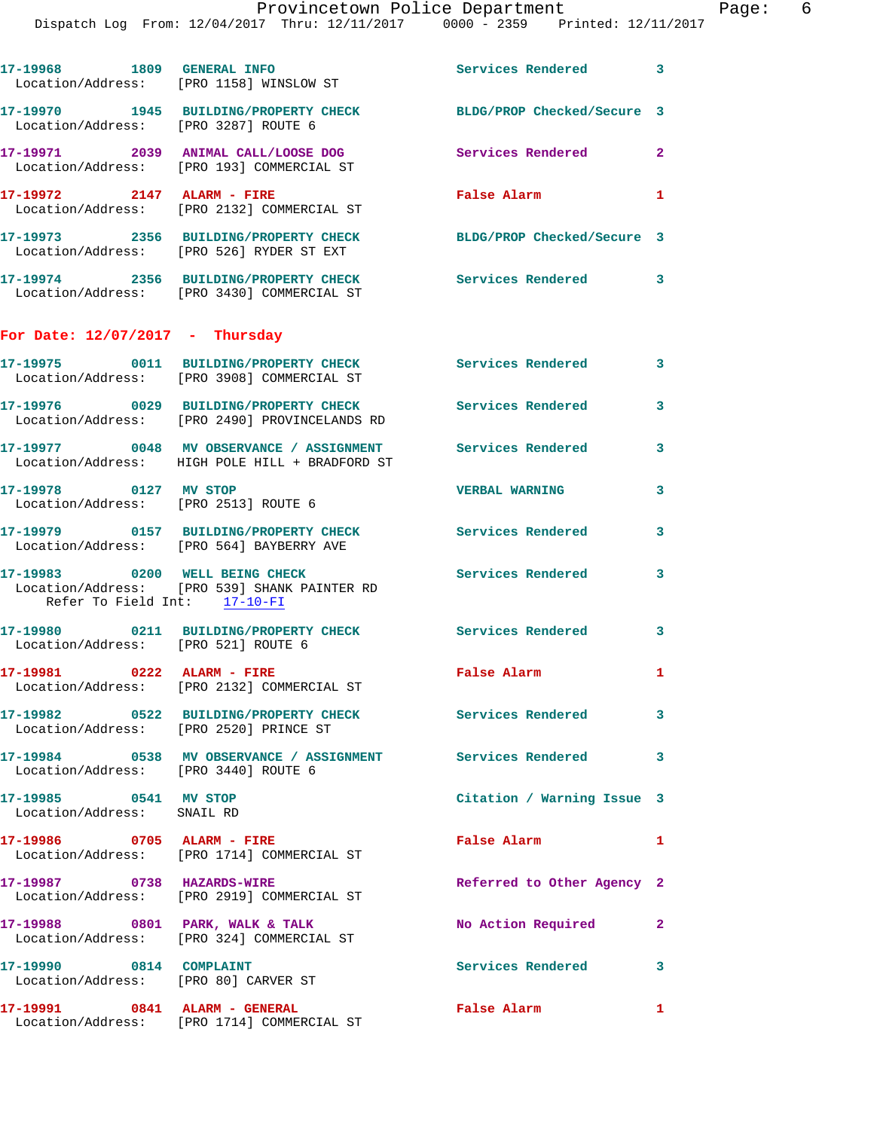Dispatch Log From: 12/04/2017 Thru: 12/11/2017 0000 - 2359 Printed: 12/11/2017 **17-19968 1809 GENERAL INFO Services Rendered 3**  Location/Address: [PRO 1158] WINSLOW ST **17-19970 1945 BUILDING/PROPERTY CHECK BLDG/PROP Checked/Secure 3**  Location/Address: [PRO 3287] ROUTE 6 **17-19971 2039 ANIMAL CALL/LOOSE DOG Services Rendered 2**  Location/Address: [PRO 193] COMMERCIAL ST **17-19972 2147 ALARM - FIRE False Alarm 1**  Location/Address: [PRO 2132] COMMERCIAL ST **17-19973 2356 BUILDING/PROPERTY CHECK BLDG/PROP Checked/Secure 3**  Location/Address: [PRO 526] RYDER ST EXT **17-19974 2356 BUILDING/PROPERTY CHECK Services Rendered 3**  Location/Address: [PRO 3430] COMMERCIAL ST **For Date: 12/07/2017 - Thursday 17-19975 0011 BUILDING/PROPERTY CHECK Services Rendered 3**  Location/Address: [PRO 3908] COMMERCIAL ST **17-19976 0029 BUILDING/PROPERTY CHECK Services Rendered 3**  Location/Address: [PRO 2490] PROVINCELANDS RD **17-19977 0048 MV OBSERVANCE / ASSIGNMENT Services Rendered 3**  Location/Address: HIGH POLE HILL + BRADFORD ST **17-19978 0127 MV STOP VERBAL WARNING 3**  Location/Address: [PRO 2513] ROUTE 6 **17-19979 0157 BUILDING/PROPERTY CHECK Services Rendered 3**  Location/Address: [PRO 564] BAYBERRY AVE **17-19983 0200 WELL BEING CHECK Services Rendered 3**  Location/Address: [PRO 539] SHANK PAINTER RD Refer To Field Int: 17-10-FI **17-19980 0211 BUILDING/PROPERTY CHECK Services Rendered 3**  Location/Address: [PRO 521] ROUTE 6 **17-19981 0222 ALARM - FIRE False Alarm 1**  Location/Address: [PRO 2132] COMMERCIAL ST **17-19982 0522 BUILDING/PROPERTY CHECK Services Rendered 3**  Location/Address: [PRO 2520] PRINCE ST **17-19984 0538 MV OBSERVANCE / ASSIGNMENT Services Rendered 3**  Location/Address: [PRO 3440] ROUTE 6 **17-19985 0541 MV STOP Citation / Warning Issue 3**  Location/Address: SNAIL RD **17-19986 0705 ALARM - FIRE False Alarm 1**  Location/Address: [PRO 1714] COMMERCIAL ST **17-19987 0738 HAZARDS-WIRE Referred to Other Agency 2**  Location/Address: [PRO 2919] COMMERCIAL ST **17-19988 0801 PARK, WALK & TALK No Action Required 2**  Location/Address: [PRO 324] COMMERCIAL ST 17-19990 0814 COMPLAINT **Services Rendered** 3 Location/Address: [PRO 80] CARVER ST **17-19991 0841 ALARM - GENERAL False Alarm 1** 

Location/Address: [PRO 1714] COMMERCIAL ST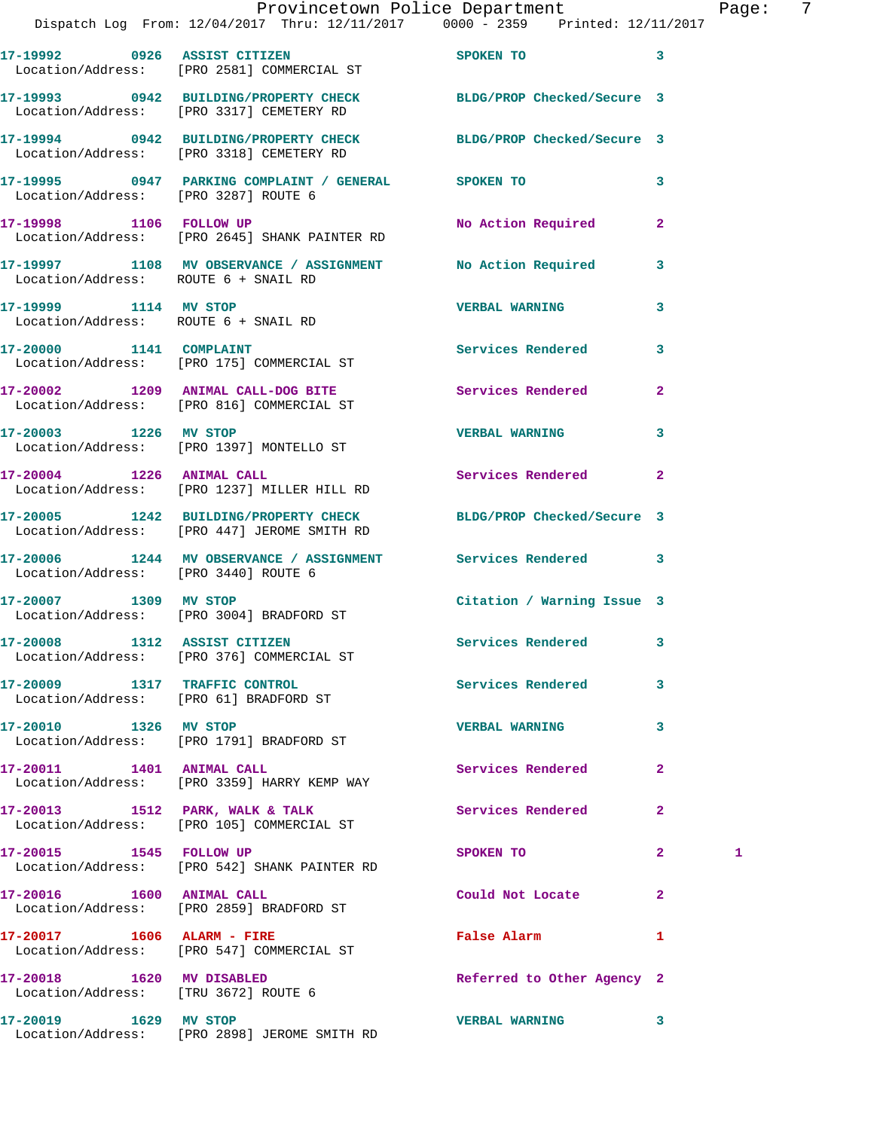|                                                                   | Provincetown Police Department<br>Dispatch Log From: 12/04/2017 Thru: 12/11/2017 0000 - 2359 Printed: 12/11/2017 |                                         |              | Page: | - 7 |
|-------------------------------------------------------------------|------------------------------------------------------------------------------------------------------------------|-----------------------------------------|--------------|-------|-----|
|                                                                   | 17-19992 0926 ASSIST CITIZEN SPOKEN TO 3<br>Location/Address: [PRO 2581] COMMERCIAL ST                           |                                         |              |       |     |
|                                                                   | 17-19993 0942 BUILDING/PROPERTY CHECK BLDG/PROP Checked/Secure 3<br>Location/Address: [PRO 3317] CEMETERY RD     |                                         |              |       |     |
|                                                                   | 17-19994 0942 BUILDING/PROPERTY CHECK BLDG/PROP Checked/Secure 3<br>Location/Address: [PRO 3318] CEMETERY RD     |                                         |              |       |     |
| Location/Address: [PRO 3287] ROUTE 6                              | 17-19995 0947 PARKING COMPLAINT / GENERAL SPOKEN TO                                                              |                                         | $\mathbf{3}$ |       |     |
|                                                                   | 17-19998 1106 FOLLOW UP<br>Location/Address: [PRO 2645] SHANK PAINTER RD                                         | No Action Required                      | $\mathbf{2}$ |       |     |
| Location/Address: ROUTE 6 + SNAIL RD                              | 17-19997 1108 MV OBSERVANCE / ASSIGNMENT No Action Required 3                                                    |                                         |              |       |     |
| 17-19999 1114 MV STOP                                             | Location/Address: ROUTE 6 + SNAIL RD                                                                             | <b>VERBAL WARNING</b>                   | $\mathbf{3}$ |       |     |
|                                                                   | 17-20000 1141 COMPLAINT<br>Location/Address: [PRO 175] COMMERCIAL ST                                             | Services Rendered                       | $\mathbf{3}$ |       |     |
|                                                                   | 17-20002 1209 ANIMAL CALL-DOG BITE Services Rendered 2<br>Location/Address: [PRO 816] COMMERCIAL ST              |                                         |              |       |     |
|                                                                   | 17-20003 1226 MV STOP<br>Location/Address: [PRO 1397] MONTELLO ST                                                | <b>VERBAL WARNING</b>                   | 3            |       |     |
|                                                                   | 17-20004 1226 ANIMAL CALL<br>Location/Address: [PRO 1237] MILLER HILL RD                                         | Services Rendered 2                     |              |       |     |
|                                                                   | 17-20005 1242 BUILDING/PROPERTY CHECK BLDG/PROP Checked/Secure 3<br>Location/Address: [PRO 447] JEROME SMITH RD  |                                         |              |       |     |
| Location/Address: [PRO 3440] ROUTE 6                              | 17-20006 1244 MV OBSERVANCE / ASSIGNMENT Services Rendered 3                                                     |                                         |              |       |     |
|                                                                   | 17-20007 1309 MV STOP<br>Location/Address: [PRO 3004] BRADFORD ST                                                | Citation / Warning Issue 3              |              |       |     |
|                                                                   | 17-20008 1312 ASSIST CITIZEN 5ervices Rendered 3<br>Location/Address: [PRO 376] COMMERCIAL ST                    |                                         |              |       |     |
|                                                                   | 17-20009 1317 TRAFFIC CONTROL<br>Location/Address: [PRO 61] BRADFORD ST                                          | Services Rendered 3                     |              |       |     |
| 17-20010 1326 MV STOP                                             | Location/Address: [PRO 1791] BRADFORD ST                                                                         | <b>VERBAL WARNING</b>                   | 3            |       |     |
|                                                                   | 17-20011 1401 ANIMAL CALL<br>Location/Address: [PRO 3359] HARRY KEMP WAY                                         | <b>Services Rendered</b>                | $\mathbf{2}$ |       |     |
|                                                                   | 17-20013 1512 PARK, WALK & TALK<br>Location/Address: [PRO 105] COMMERCIAL ST                                     | Services Rendered                       | $\mathbf{2}$ |       |     |
|                                                                   | 17-20015 1545 FOLLOW UP<br>Location/Address: [PRO 542] SHANK PAINTER RD                                          | SPOKEN TO DESCRIPTION OF REAL PROPERTY. | $\mathbf{2}$ | 1     |     |
| 17-20016   1600   ANIMAL CALL                                     | Location/Address: [PRO 2859] BRADFORD ST                                                                         | Could Not Locate                        | $\mathbf{2}$ |       |     |
|                                                                   | 17-20017 1606 ALARM - FIRE<br>Location/Address: [PRO 547] COMMERCIAL ST                                          | False Alarm                             | 1            |       |     |
| 17-20018 1620 MV DISABLED<br>Location/Address: [TRU 3672] ROUTE 6 |                                                                                                                  | Referred to Other Agency 2              |              |       |     |
|                                                                   |                                                                                                                  | VERBAL WARNING 3                        |              |       |     |

Location/Address: [PRO 2898] JEROME SMITH RD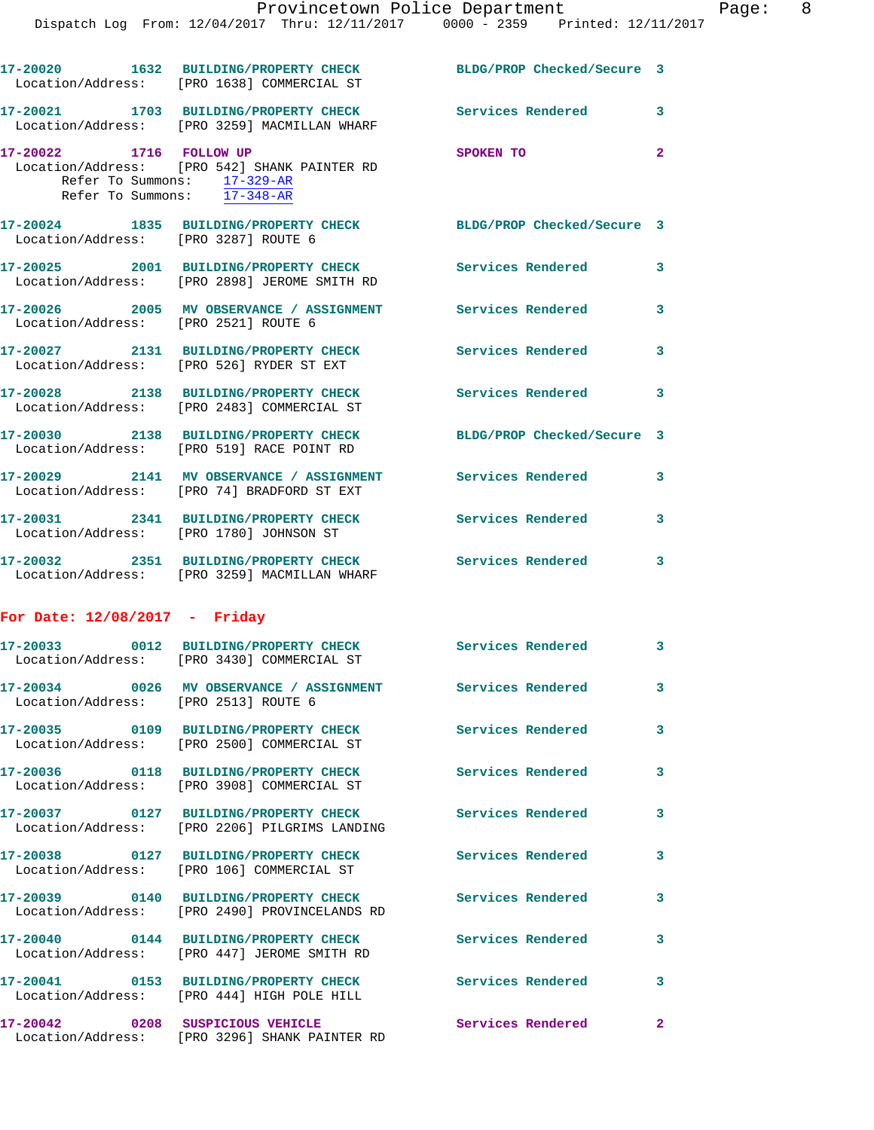|                                      | 17-20020 1632 BUILDING/PROPERTY CHECK<br>Location/Address: [PRO 1638] COMMERCIAL ST                          | BLDG/PROP Checked/Secure 3 |                         |
|--------------------------------------|--------------------------------------------------------------------------------------------------------------|----------------------------|-------------------------|
|                                      | 17-20021 1703 BUILDING/PROPERTY CHECK<br>Location/Address: [PRO 3259] MACMILLAN WHARF                        | Services Rendered 3        |                         |
| 17-20022 1716 FOLLOW UP              | Location/Address: [PRO 542] SHANK PAINTER RD<br>Refer To Summons: 17-329-AR<br>Refer To Summons: $17-348-AR$ | SPOKEN TO                  | $\overline{a}$          |
| Location/Address: [PRO 3287] ROUTE 6 | 17-20024 1835 BUILDING/PROPERTY CHECK BLDG/PROP Checked/Secure 3                                             |                            |                         |
|                                      | 17-20025 2001 BUILDING/PROPERTY CHECK<br>Location/Address: [PRO 2898] JEROME SMITH RD                        | <b>Services Rendered</b>   | 3                       |
| Location/Address: [PRO 2521] ROUTE 6 | 17-20026 2005 MV OBSERVANCE / ASSIGNMENT Services Rendered                                                   |                            | $\overline{\mathbf{3}}$ |
|                                      | 17-20027 2131 BUILDING/PROPERTY CHECK<br>Location/Address: [PRO 526] RYDER ST EXT                            | <b>Services Rendered</b>   | 3                       |
|                                      | 17-20028 2138 BUILDING/PROPERTY CHECK<br>Location/Address: [PRO 2483] COMMERCIAL ST                          | <b>Services Rendered</b>   | 3                       |
|                                      | 17-20030 2138 BUILDING/PROPERTY CHECK<br>Location/Address: [PRO 519] RACE POINT RD                           | BLDG/PROP Checked/Secure 3 |                         |
|                                      | 17-20029 2141 MV OBSERVANCE / ASSIGNMENT<br>Location/Address: [PRO 74] BRADFORD ST EXT                       | Services Rendered          | 3                       |
|                                      | 17-20031 2341 BUILDING/PROPERTY CHECK<br>Location/Address: [PRO 1780] JOHNSON ST                             | <b>Services Rendered</b>   | $\overline{\mathbf{3}}$ |
|                                      | 17-20032 2351 BUILDING/PROPERTY CHECK Services Rendered<br>Location/Address: [PRO 3259] MACMILLAN WHARF      |                            | 3                       |
| For Date: 12/08/2017 - Friday        |                                                                                                              |                            |                         |
|                                      | 17-20033 0012 BUILDING/PROPERTY CHECK<br>Location/Address: [PRO 3430] COMMERCIAL ST                          | Services Rendered 3        |                         |
| Location/Address: [PRO 2513] ROUTE 6 |                                                                                                              | Services Rendered          | 3                       |
|                                      | 17-20035 0109 BUILDING/PROPERTY CHECK<br>Location/Address: [PRO 2500] COMMERCIAL ST                          | Services Rendered          | $\mathbf{3}$            |
| Location/Address:                    | [PRO 3908] COMMERCIAL ST                                                                                     | Services Rendered          | 3                       |
| Location/Address:                    | [PRO 2206] PILGRIMS LANDING                                                                                  | Services Rendered          | 3                       |
| Location/Address:                    | [PRO 106] COMMERCIAL ST                                                                                      | Services Rendered          | 3                       |
| Location/Address:                    | 17-20039 0140 BUILDING/PROPERTY CHECK<br>[PRO 2490] PROVINCELANDS RD                                         | Services Rendered          | 3                       |

**17-20040 0144 BUILDING/PROPERTY CHECK Services Rendered 3**  Location/Address: [PRO 447] JEROME SMITH RD **17-20041 0153 BUILDING/PROPERTY CHECK Services Rendered 3**  Location/Address: [PRO 444] HIGH POLE HILL

**17-20042 0208 SUSPICIOUS VEHICLE Services Rendered 2**  Location/Address: [PRO 3296] SHANK PAINTER RD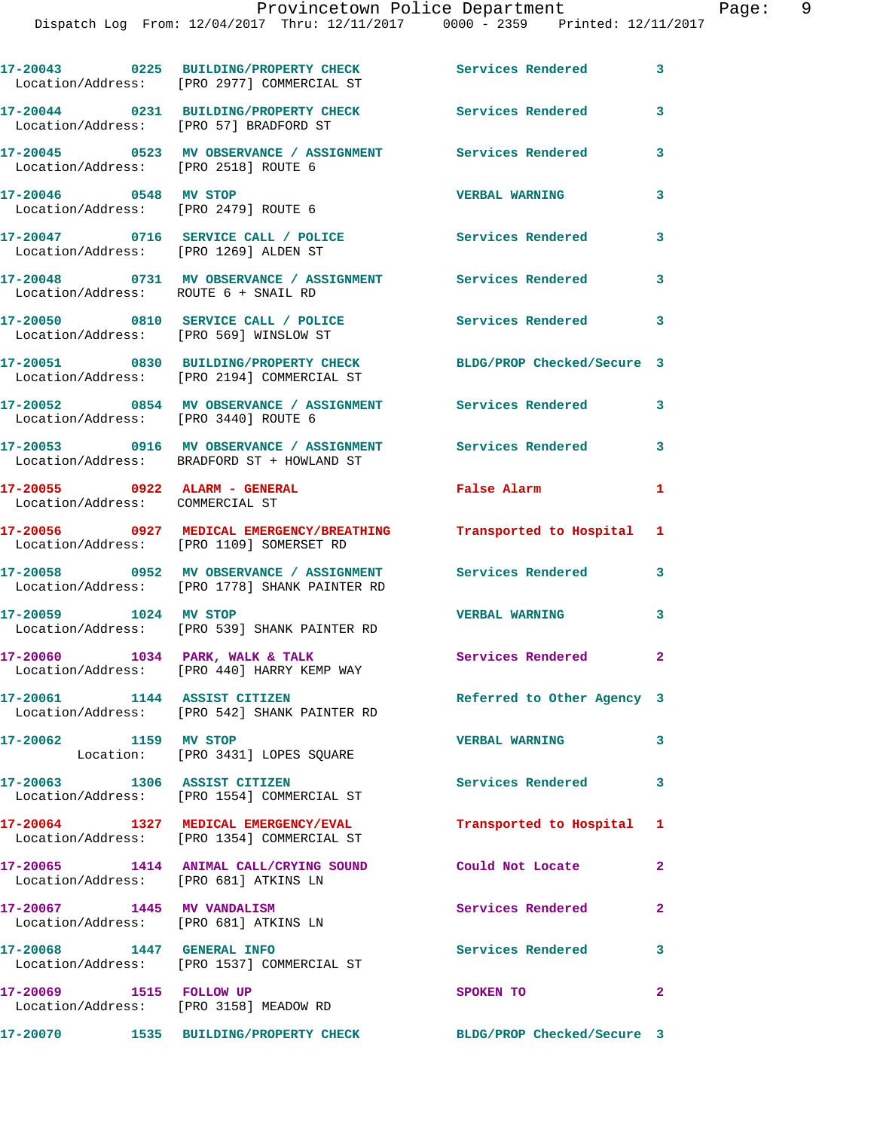Dispatch Log From: 12/04/2017 Thru: 12/11/2017 0000 - 2359 Printed: 12/11/2017

|                                                                  | 17-20043 0225 BUILDING/PROPERTY CHECK<br>Location/Address: [PRO 2977] COMMERCIAL ST                         | <b>Services Rendered</b>   | $\mathbf{3}$   |
|------------------------------------------------------------------|-------------------------------------------------------------------------------------------------------------|----------------------------|----------------|
| Location/Address: [PRO 57] BRADFORD ST                           | 17-20044 0231 BUILDING/PROPERTY CHECK                                                                       | <b>Services Rendered</b>   | 3              |
| Location/Address: [PRO 2518] ROUTE 6                             | 17-20045 0523 MV OBSERVANCE / ASSIGNMENT Services Rendered                                                  |                            | 3              |
| 17-20046 0548 MV STOP<br>Location/Address: [PRO 2479] ROUTE 6    |                                                                                                             | <b>VERBAL WARNING</b>      | 3              |
|                                                                  | 17-20047 0716 SERVICE CALL / POLICE<br>Location/Address: [PRO 1269] ALDEN ST                                | <b>Services Rendered</b>   | 3              |
| Location/Address: ROUTE 6 + SNAIL RD                             | 17-20048 0731 MV OBSERVANCE / ASSIGNMENT Services Rendered                                                  |                            | 3              |
| Location/Address: [PRO 569] WINSLOW ST                           | 17-20050 0810 SERVICE CALL / POLICE                                                                         | Services Rendered          | 3              |
|                                                                  | 17-20051 0830 BUILDING/PROPERTY CHECK<br>Location/Address: [PRO 2194] COMMERCIAL ST                         | BLDG/PROP Checked/Secure 3 |                |
| Location/Address: [PRO 3440] ROUTE 6                             | 17-20052 0854 MV OBSERVANCE / ASSIGNMENT Services Rendered                                                  |                            | 3              |
|                                                                  | 17-20053 0916 MV OBSERVANCE / ASSIGNMENT<br>Location/Address: BRADFORD ST + HOWLAND ST                      | <b>Services Rendered</b>   | 3              |
| 17-20055 0922 ALARM - GENERAL<br>Location/Address: COMMERCIAL ST |                                                                                                             | False Alarm                | $\mathbf{1}$   |
|                                                                  | 17-20056 0927 MEDICAL EMERGENCY/BREATHING<br>Location/Address: [PRO 1109] SOMERSET RD                       | Transported to Hospital 1  |                |
|                                                                  | 17-20058 0952 MV OBSERVANCE / ASSIGNMENT Services Rendered<br>Location/Address: [PRO 1778] SHANK PAINTER RD |                            | 3              |
| 17-20059 1024 MV STOP                                            | Location/Address: [PRO 539] SHANK PAINTER RD                                                                | <b>VERBAL WARNING</b>      | 3              |
| 17-20060 1034 PARK, WALK & TALK                                  | Location/Address: [PRO 440] HARRY KEMP WAY                                                                  | Services Rendered          | $\mathbf{2}$   |
| 17-20061 1144 ASSIST CITIZEN                                     | Location/Address: [PRO 542] SHANK PAINTER RD                                                                | Referred to Other Agency 3 |                |
| 17-20062 1159 MV STOP                                            | Location: [PRO 3431] LOPES SQUARE                                                                           | <b>VERBAL WARNING</b>      | 3              |
| 17-20063 1306 ASSIST CITIZEN                                     |                                                                                                             |                            |                |
|                                                                  | Location/Address: [PRO 1554] COMMERCIAL ST                                                                  | Services Rendered          | 3              |
|                                                                  | 17-20064 1327 MEDICAL EMERGENCY/EVAL<br>Location/Address: [PRO 1354] COMMERCIAL ST                          | Transported to Hospital 1  |                |
| Location/Address: [PRO 681] ATKINS LN                            | 17-20065 1414 ANIMAL CALL/CRYING SOUND                                                                      | Could Not Locate           | $\mathbf{2}$   |
| 17-20067 1445 MV VANDALISM                                       | Location/Address: [PRO 681] ATKINS LN                                                                       | Services Rendered          | $\overline{2}$ |
| 17-20068 1447 GENERAL INFO                                       | Location/Address: [PRO 1537] COMMERCIAL ST                                                                  | Services Rendered          | 3              |
| 17-20069 1515 FOLLOW UP                                          | Location/Address: [PRO 3158] MEADOW RD                                                                      | SPOKEN TO                  | $\mathbf{2}$   |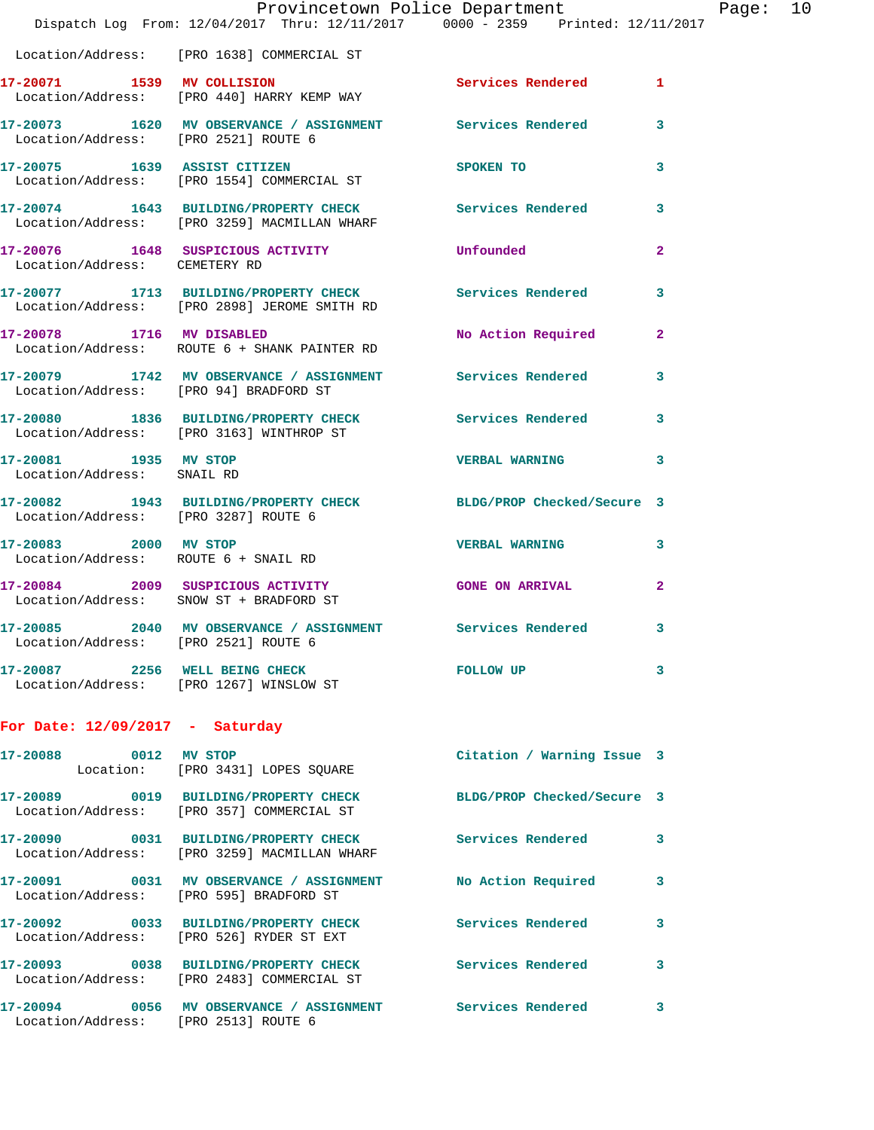|                                                               | Provincetown Police Department<br>Dispatch Log From: 12/04/2017 Thru: 12/11/2017 0000 - 2359 Printed: 12/11/2017 |                            |              |
|---------------------------------------------------------------|------------------------------------------------------------------------------------------------------------------|----------------------------|--------------|
|                                                               | Location/Address: [PRO 1638] COMMERCIAL ST                                                                       |                            |              |
|                                                               | 17-20071 1539 MV COLLISION<br>Location/Address: [PRO 440] HARRY KEMP WAY                                         | <b>Services Rendered</b>   | 1            |
|                                                               | 17-20073 1620 MV OBSERVANCE / ASSIGNMENT Services Rendered<br>Location/Address: [PRO 2521] ROUTE 6               |                            | 3            |
|                                                               | 17-20075 1639 ASSIST CITIZEN<br>Location/Address: [PRO 1554] COMMERCIAL ST                                       | SPOKEN TO                  | 3            |
|                                                               | 17-20074 1643 BUILDING/PROPERTY CHECK Services Rendered<br>Location/Address: [PRO 3259] MACMILLAN WHARF          |                            | 3            |
| Location/Address: CEMETERY RD                                 | 17-20076 1648 SUSPICIOUS ACTIVITY                                                                                | Unfounded                  | 2            |
|                                                               | 17-20077 1713 BUILDING/PROPERTY CHECK Services Rendered<br>Location/Address: [PRO 2898] JEROME SMITH RD          |                            | 3            |
| 17-20078 1716 MV DISABLED                                     | Location/Address: ROUTE 6 + SHANK PAINTER RD                                                                     | No Action Required         | $\mathbf{2}$ |
| Location/Address: [PRO 94] BRADFORD ST                        | 17-20079 1742 MV OBSERVANCE / ASSIGNMENT Services Rendered                                                       |                            | 3            |
|                                                               | 17-20080 1836 BUILDING/PROPERTY CHECK Services Rendered<br>Location/Address: [PRO 3163] WINTHROP ST              |                            | 3            |
| 17-20081 1935 MV STOP<br>Location/Address: SNAIL RD           |                                                                                                                  | <b>VERBAL WARNING</b>      | 3            |
| Location/Address: [PRO 3287] ROUTE 6                          | 17-20082 1943 BUILDING/PROPERTY CHECK BLDG/PROP Checked/Secure 3                                                 |                            |              |
| 17-20083 2000 MV STOP<br>Location/Address: ROUTE 6 + SNAIL RD |                                                                                                                  | <b>VERBAL WARNING</b>      | 3            |
|                                                               | 17-20084 2009 SUSPICIOUS ACTIVITY<br>Location/Address: SNOW ST + BRADFORD ST                                     | <b>GONE ON ARRIVAL</b>     | $\mathbf{2}$ |
| Location/Address: [PRO 2521] ROUTE 6                          | 17-20085 2040 MV OBSERVANCE / ASSIGNMENT Services Rendered                                                       |                            | 3            |
|                                                               | 17-20087 2256 WELL BEING CHECK<br>Location/Address: [PRO 1267] WINSLOW ST                                        | <b>FOLLOW UP</b>           | 3            |
| For Date: $12/09/2017$ - Saturday                             |                                                                                                                  |                            |              |
| 17-20088 0012 MV STOP                                         | Location: [PRO 3431] LOPES SQUARE                                                                                | Citation / Warning Issue 3 |              |
|                                                               | 17-20089 0019 BUILDING/PROPERTY CHECK<br>Location/Address: [PRO 357] COMMERCIAL ST                               | BLDG/PROP Checked/Secure 3 |              |
|                                                               | 17-20090 0031 BUILDING/PROPERTY CHECK<br>Location/Address: [PRO 3259] MACMILLAN WHARF                            | Services Rendered          | 3            |
|                                                               | 17-20091 0031 MV OBSERVANCE / ASSIGNMENT<br>Location/Address: [PRO 595] BRADFORD ST                              | No Action Required         | 3            |
|                                                               | 17-20092 0033 BUILDING/PROPERTY CHECK<br>Location/Address: [PRO 526] RYDER ST EXT                                | <b>Services Rendered</b>   | 3            |
|                                                               | 17-20093 0038 BUILDING/PROPERTY CHECK<br>Location/Address: [PRO 2483] COMMERCIAL ST                              | <b>Services Rendered</b>   | 3            |
|                                                               | 17-20094  0056 MV OBSERVANCE / ASSIGNMENT Services Rendered                                                      |                            | 3            |

Location/Address: [PRO 2513] ROUTE 6

Page:  $10$ <br> $17$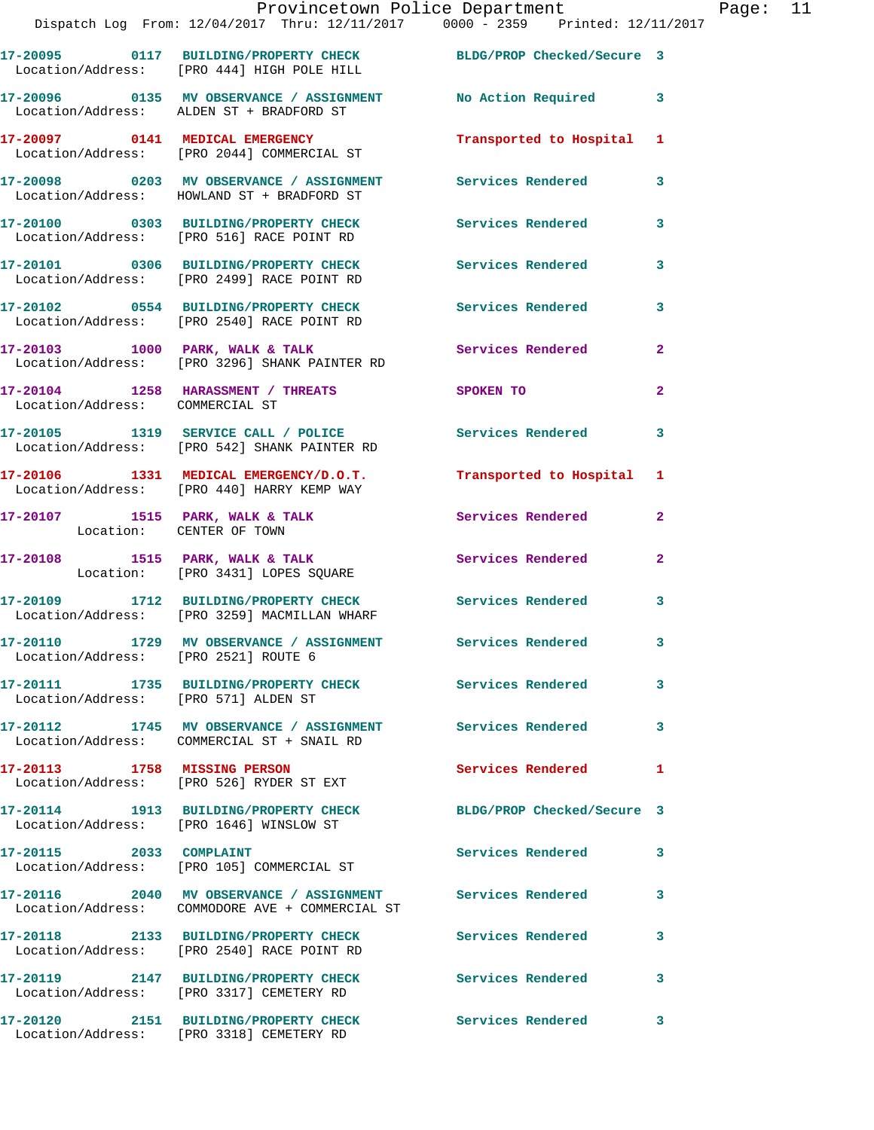|                                                             | 17-20095 0117 BUILDING/PROPERTY CHECK<br>Location/Address: [PRO 444] HIGH POLE HILL                           | BLDG/PROP Checked/Secure 3 |                         |
|-------------------------------------------------------------|---------------------------------------------------------------------------------------------------------------|----------------------------|-------------------------|
|                                                             | 17-20096 0135 MV OBSERVANCE / ASSIGNMENT<br>Location/Address: ALDEN ST + BRADFORD ST                          | No Action Required 3       |                         |
|                                                             | 17-20097 0141 MEDICAL EMERGENCY<br>Location/Address: [PRO 2044] COMMERCIAL ST                                 | Transported to Hospital    | $\mathbf{1}$            |
|                                                             | 17-20098 0203 MV OBSERVANCE / ASSIGNMENT Services Rendered<br>Location/Address: HOWLAND ST + BRADFORD ST      |                            | $\mathbf{3}$            |
|                                                             | 17-20100 0303 BUILDING/PROPERTY CHECK<br>Location/Address: [PRO 516] RACE POINT RD                            | <b>Services Rendered</b>   | 3                       |
|                                                             | 17-20101 0306 BUILDING/PROPERTY CHECK<br>Location/Address: [PRO 2499] RACE POINT RD                           | <b>Services Rendered</b>   | $\mathbf{3}$            |
|                                                             | 17-20102 0554 BUILDING/PROPERTY CHECK<br>Location/Address: [PRO 2540] RACE POINT RD                           | <b>Services Rendered</b>   | 3                       |
| $17-20103$ 1000 PARK, WALK & TALK                           | Location/Address: [PRO 3296] SHANK PAINTER RD                                                                 | Services Rendered          | $\overline{2}$          |
| Location/Address: COMMERCIAL ST                             | 17-20104 1258 HARASSMENT / THREATS                                                                            | <b>SPOKEN TO</b>           | $\overline{a}$          |
|                                                             | 17-20105 1319 SERVICE CALL / POLICE<br>Location/Address: [PRO 542] SHANK PAINTER RD                           | <b>Services Rendered</b>   | $\overline{\mathbf{3}}$ |
|                                                             | 17-20106 1331 MEDICAL EMERGENCY/D.O.T.<br>Location/Address: [PRO 440] HARRY KEMP WAY                          | Transported to Hospital 1  |                         |
| 17-20107 1515 PARK, WALK & TALK<br>Location: CENTER OF TOWN |                                                                                                               | <b>Services Rendered</b>   | $\overline{2}$          |
|                                                             | 17-20108 1515 PARK, WALK & TALK<br>Location: [PRO 3431] LOPES SQUARE                                          | Services Rendered          | $\overline{2}$          |
|                                                             | 17-20109 1712 BUILDING/PROPERTY CHECK<br>Location/Address: [PRO 3259] MACMILLAN WHARF                         | Services Rendered          | 3                       |
| Location/Address: [PRO 2521] ROUTE 6                        | 17-20110 1729 MV OBSERVANCE / ASSIGNMENT Services Rendered 3                                                  |                            |                         |
| 17-20111<br>Location/Address: [PRO 571] ALDEN ST            | 1735 BUILDING/PROPERTY CHECK                                                                                  | Services Rendered          | 3 <sup>7</sup>          |
|                                                             | 17-20112 1745 MV OBSERVANCE / ASSIGNMENT Services Rendered<br>Location/Address: COMMERCIAL ST + SNAIL RD      |                            | $\mathbf{3}$            |
| 17-20113 1758 MISSING PERSON                                | Location/Address: [PRO 526] RYDER ST EXT                                                                      | <b>Services Rendered</b>   | $\mathbf{1}$            |
|                                                             | 17-20114 1913 BUILDING/PROPERTY CHECK<br>Location/Address: [PRO 1646] WINSLOW ST                              | BLDG/PROP Checked/Secure 3 |                         |
| 17-20115 2033 COMPLAINT                                     | Location/Address: [PRO 105] COMMERCIAL ST                                                                     | Services Rendered          | $\mathbf{3}$            |
|                                                             | 17-20116 2040 MV OBSERVANCE / ASSIGNMENT Services Rendered<br>Location/Address: COMMODORE AVE + COMMERCIAL ST |                            | 3                       |
|                                                             | 17-20118 2133 BUILDING/PROPERTY CHECK<br>Location/Address: [PRO 2540] RACE POINT RD                           | <b>Services Rendered</b>   | 3                       |
|                                                             | 17-20119 2147 BUILDING/PROPERTY CHECK<br>Location/Address: [PRO 3317] CEMETERY RD                             | <b>Services Rendered</b>   | $\mathbf{3}$            |
|                                                             | 17-20120 2151 BUILDING/PROPERTY CHECK                                                                         | Services Rendered 3        |                         |

Location/Address: [PRO 3318] CEMETERY RD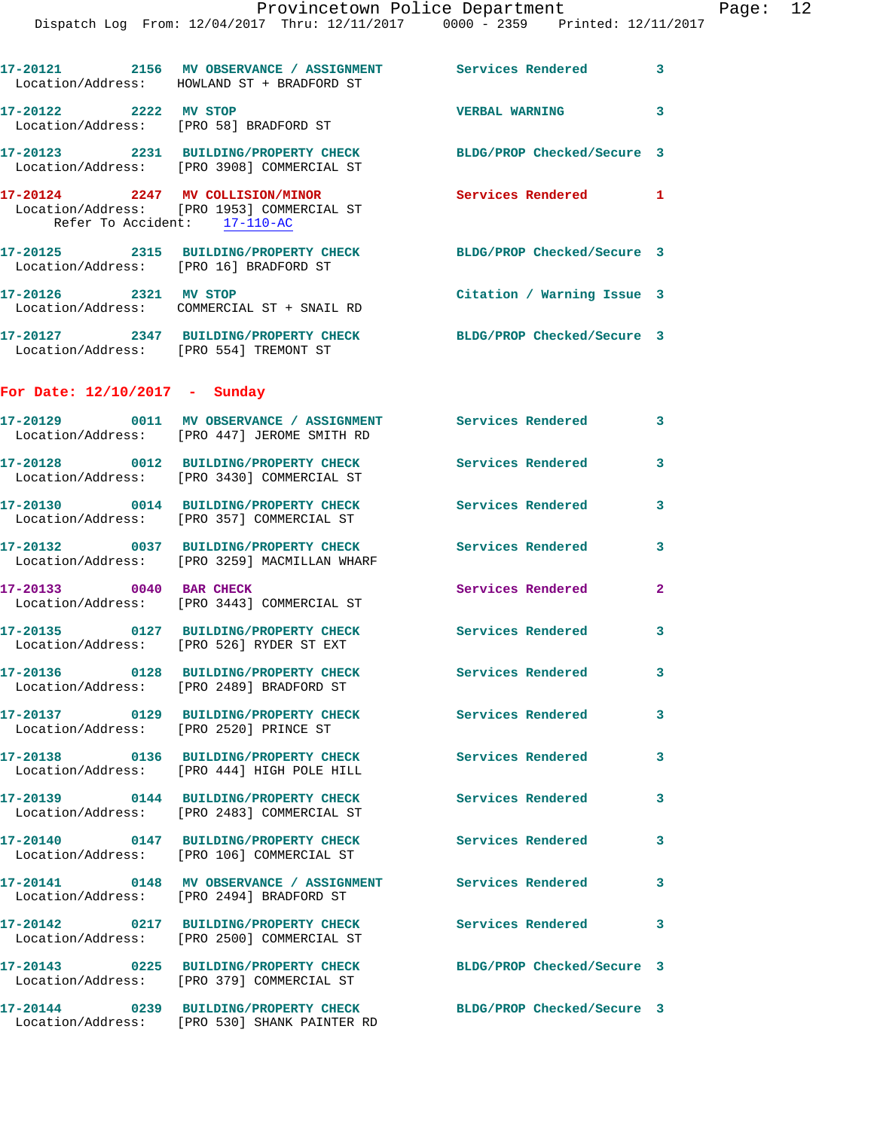|                               | Dispatch Log From: 12/04/2017 Thru: 12/11/2017 0000 - 2359 Printed: 12/11/2017                                   |                            |              |
|-------------------------------|------------------------------------------------------------------------------------------------------------------|----------------------------|--------------|
|                               | 17-20121 2156 MV OBSERVANCE / ASSIGNMENT Services Rendered<br>Location/Address: HOWLAND ST + BRADFORD ST         |                            | 3            |
| 17-20122 2222 MV STOP         | Location/Address: [PRO 58] BRADFORD ST                                                                           | <b>VERBAL WARNING</b>      | 3            |
|                               | 17-20123 2231 BUILDING/PROPERTY CHECK<br>Location/Address: [PRO 3908] COMMERCIAL ST                              | BLDG/PROP Checked/Secure 3 |              |
| Refer To Accident: 17-110-AC  | 17-20124 2247 MV COLLISION/MINOR<br>Location/Address: [PRO 1953] COMMERCIAL ST                                   | <b>Services Rendered</b>   | 1            |
|                               | 17-20125 2315 BUILDING/PROPERTY CHECK<br>Location/Address: [PRO 16] BRADFORD ST                                  | BLDG/PROP Checked/Secure 3 |              |
| 17-20126 2321 MV STOP         | Location/Address: COMMERCIAL ST + SNAIL RD                                                                       | Citation / Warning Issue 3 |              |
|                               | 17-20127 2347 BUILDING/PROPERTY CHECK<br>Location/Address: [PRO 554] TREMONT ST                                  | BLDG/PROP Checked/Secure 3 |              |
| For Date: 12/10/2017 - Sunday |                                                                                                                  |                            |              |
|                               | Location/Address: [PRO 447] JEROME SMITH RD                                                                      |                            | 3            |
|                               | 17-20128 0012 BUILDING/PROPERTY CHECK<br>Location/Address: [PRO 3430] COMMERCIAL ST                              | <b>Services Rendered</b>   | 3            |
|                               | 17-20130 0014 BUILDING/PROPERTY CHECK<br>Location/Address: [PRO 357] COMMERCIAL ST                               | <b>Services Rendered</b>   | 3            |
|                               | 17-20132 0037 BUILDING/PROPERTY CHECK<br>Location/Address: [PRO 3259] MACMILLAN WHARF                            | <b>Services Rendered</b>   | 3            |
| 17-20133 0040 BAR CHECK       | Location/Address: [PRO 3443] COMMERCIAL ST                                                                       | Services Rendered          | $\mathbf{2}$ |
|                               | 17-20135 0127 BUILDING/PROPERTY CHECK<br>Location/Address: [PRO 526] RYDER ST EXT                                | Services Rendered          | 3            |
| 17-20136                      | 0128 BUILDING/PROPERTY CHECK<br>Location/Address: [PRO 2489] BRADFORD ST                                         | Services Rendered          | 3            |
|                               | 17-20137 0129 BUILDING/PROPERTY CHECK<br>Location/Address: [PRO 2520] PRINCE ST                                  | Services Rendered          | 3            |
|                               | 17-20138 0136 BUILDING/PROPERTY CHECK Services Rendered<br>Location/Address: [PRO 444] HIGH POLE HILL            |                            | 3            |
|                               | 17-20139 0144 BUILDING/PROPERTY CHECK<br>Location/Address: [PRO 2483] COMMERCIAL ST                              | Services Rendered          | 3            |
|                               | 17-20140  0147 BUILDING/PROPERTY CHECK<br>Location/Address: [PRO 106] COMMERCIAL ST                              | <b>Services Rendered</b>   | 3            |
|                               | 17-20141 0148 MV OBSERVANCE / ASSIGNMENT Services Rendered<br>Location/Address: [PRO 2494] BRADFORD ST           |                            | 3            |
|                               | 17-20142 0217 BUILDING/PROPERTY CHECK<br>Location/Address: [PRO 2500] COMMERCIAL ST                              | <b>Services Rendered</b>   | 3            |
|                               | 17-20143 0225 BUILDING/PROPERTY CHECK<br>Location/Address: [PRO 379] COMMERCIAL ST                               | BLDG/PROP Checked/Secure 3 |              |
|                               | 17-20144 0239 BUILDING/PROPERTY CHECK BLDG/PROP Checked/Secure 3<br>Location/Address: [PRO 530] SHANK PAINTER RD |                            |              |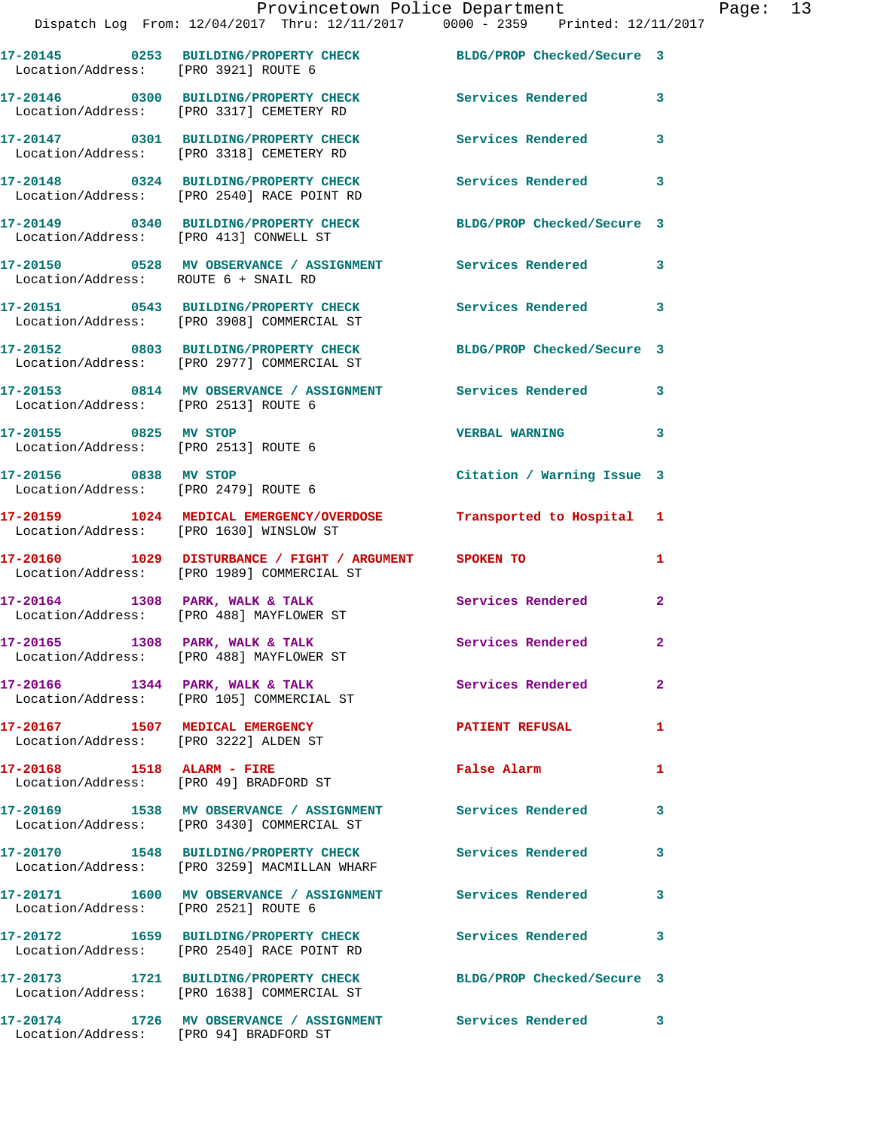|                                        | Provincetown Police Department                                                                          |   |
|----------------------------------------|---------------------------------------------------------------------------------------------------------|---|
|                                        | Dispatch Log From: 12/04/2017 Thru: 12/11/2017 0000 - 2359 Printed: 12/11/2017                          |   |
| Location/Address: [PRO 3921] ROUTE 6   | 17-20145 0253 BUILDING/PROPERTY CHECK BLDG/PROP Checked/Secure 3                                        |   |
|                                        | 17-20146   0300 BUILDING/PROPERTY CHECK   Services Rendered<br>Location/Address: [PRO 3317] CEMETERY RD | 3 |
|                                        | Location/Address: [PRO 3318] CEMETERY RD                                                                | 3 |
|                                        | 17-20148 0324 BUILDING/PROPERTY CHECK Services Rendered<br>Location/Address: [PRO 2540] RACE POINT RD   | 3 |
| Location/Address: [PRO 413] CONWELL ST | 17-20149 0340 BUILDING/PROPERTY CHECK BLDG/PROP Checked/Secure 3                                        |   |
| Location/Address: ROUTE 6 + SNAIL RD   |                                                                                                         | 3 |

**17-20151 0543 BUILDING/PROPERTY CHECK Services Rendered 3**  Location/Address: [PRO 3908] COMMERCIAL ST

**17-20152 0803 BUILDING/PROPERTY CHECK BLDG/PROP Checked/Secure 3**  Location/Address: [PRO 2977] COMMERCIAL ST

**17-20153 0814 MV OBSERVANCE / ASSIGNMENT Services Rendered 3**  Location/Address: [PRO 2513] ROUTE 6

**17-20155 0825 MV STOP VERBAL WARNING 3**  Location/Address: [PRO 2513] ROUTE 6

**17-20156 0838 MV STOP Citation / Warning Issue 3**  Location/Address: [PRO 2479] ROUTE 6

**17-20159 1024 MEDICAL EMERGENCY/OVERDOSE Transported to Hospital 1**  Location/Address: [PRO 1630] WINSLOW ST

**17-20160 1029 DISTURBANCE / FIGHT / ARGUMENT SPOKEN TO 1**  Location/Address: [PRO 1989] COMMERCIAL ST

17-20164 1308 PARK, WALK & TALK **Services Rendered** 2 Location/Address: [PRO 488] MAYFLOWER ST

17-20165 1308 PARK, WALK & TALK **Services Rendered** 2 Location/Address: [PRO 488] MAYFLOWER ST

17-20166 1344 PARK, WALK & TALK Services Rendered 2 Location/Address: [PRO 105] COMMERCIAL ST

**17-20167 1507 MEDICAL EMERGENCY PATIENT REFUSAL 1**  Location/Address: [PRO 3222] ALDEN ST

**17-20168 1518 ALARM - FIRE False Alarm 1**  Location/Address: [PRO 49] BRADFORD ST

**17-20169 1538 MV OBSERVANCE / ASSIGNMENT Services Rendered 3**  Location/Address: [PRO 3430] COMMERCIAL ST

**17-20170 1548 BUILDING/PROPERTY CHECK Services Rendered 3**  Location/Address: [PRO 3259] MACMILLAN WHARF

**17-20171 1600 MV OBSERVANCE / ASSIGNMENT Services Rendered 3**  Location/Address: [PRO 2521] ROUTE 6

**17-20172 1659 BUILDING/PROPERTY CHECK Services Rendered 3**  Location/Address: [PRO 2540] RACE POINT RD

**17-20173 1721 BUILDING/PROPERTY CHECK BLDG/PROP Checked/Secure 3**  Location/Address: [PRO 1638] COMMERCIAL ST

**17-20174 1726 MV OBSERVANCE / ASSIGNMENT Services Rendered 3**  Location/Address: [PRO 94] BRADFORD ST

Page: 13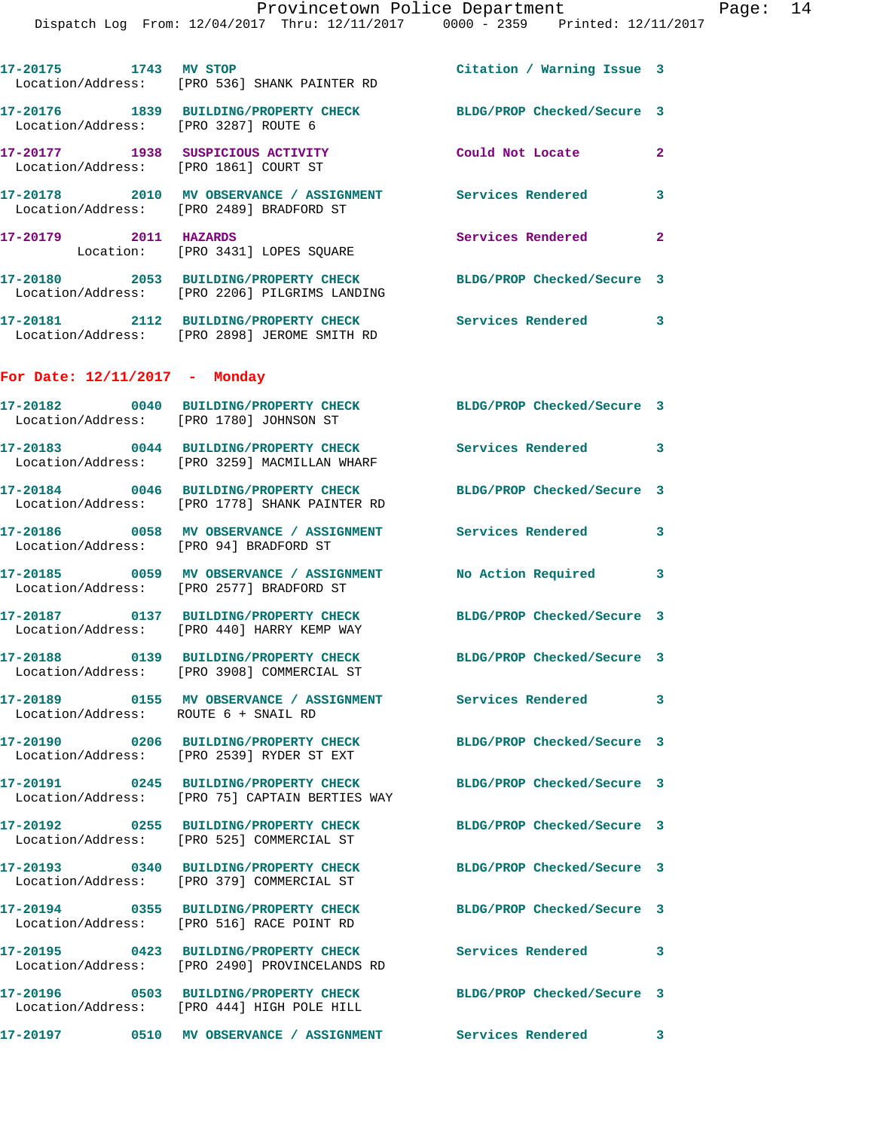Provincetown Police Department Page: 14 Dispatch Log From: 12/04/2017 Thru: 12/11/2017 0000 - 2359 Printed: 12/11/2017 **17-20175 1743 MV STOP Citation / Warning Issue 3**  Location/Address: [PRO 536] SHANK PAINTER RD **17-20176 1839 BUILDING/PROPERTY CHECK BLDG/PROP Checked/Secure 3**  Location/Address: [PRO 3287] ROUTE 6 **17-20177 1938 SUSPICIOUS ACTIVITY Could Not Locate 2**  Location/Address: [PRO 1861] COURT ST **17-20178 2010 MV OBSERVANCE / ASSIGNMENT Services Rendered 3**  Location/Address: [PRO 2489] BRADFORD ST **17-20179 2011 HAZARDS Services Rendered 2**  Location: [PRO 3431] LOPES SQUARE **17-20180 2053 BUILDING/PROPERTY CHECK BLDG/PROP Checked/Secure 3**  Location/Address: [PRO 2206] PILGRIMS LANDING **17-20181 2112 BUILDING/PROPERTY CHECK Services Rendered 3**  Location/Address: [PRO 2898] JEROME SMITH RD **For Date: 12/11/2017 - Monday 17-20182 0040 BUILDING/PROPERTY CHECK BLDG/PROP Checked/Secure 3**  Location/Address: [PRO 1780] JOHNSON ST **17-20183 0044 BUILDING/PROPERTY CHECK Services Rendered 3**  Location/Address: [PRO 3259] MACMILLAN WHARF **17-20184 0046 BUILDING/PROPERTY CHECK BLDG/PROP Checked/Secure 3**  Location/Address: [PRO 1778] SHANK PAINTER RD **17-20186 0058 MV OBSERVANCE / ASSIGNMENT Services Rendered 3**  Location/Address: [PRO 94] BRADFORD ST **17-20185 0059 MV OBSERVANCE / ASSIGNMENT No Action Required 3**  Location/Address: [PRO 2577] BRADFORD ST **17-20187 0137 BUILDING/PROPERTY CHECK BLDG/PROP Checked/Secure 3**  Location/Address: [PRO 440] HARRY KEMP WAY **17-20188 0139 BUILDING/PROPERTY CHECK BLDG/PROP Checked/Secure 3**  Location/Address: [PRO 3908] COMMERCIAL ST **17-20189 0155 MV OBSERVANCE / ASSIGNMENT Services Rendered 3**  Location/Address: ROUTE 6 + SNAIL RD **17-20190 0206 BUILDING/PROPERTY CHECK BLDG/PROP Checked/Secure 3**  Location/Address: [PRO 2539] RYDER ST EXT **17-20191 0245 BUILDING/PROPERTY CHECK BLDG/PROP Checked/Secure 3**  Location/Address: [PRO 75] CAPTAIN BERTIES WAY **17-20192 0255 BUILDING/PROPERTY CHECK BLDG/PROP Checked/Secure 3**  Location/Address: [PRO 525] COMMERCIAL ST **17-20193 0340 BUILDING/PROPERTY CHECK BLDG/PROP Checked/Secure 3**  Location/Address: [PRO 379] COMMERCIAL ST **17-20194 0355 BUILDING/PROPERTY CHECK BLDG/PROP Checked/Secure 3**  Location/Address: [PRO 516] RACE POINT RD

Location/Address: [PRO 444] HIGH POLE HILL

Location/Address: [PRO 2490] PROVINCELANDS RD

**17-20195 0423 BUILDING/PROPERTY CHECK Services Rendered 3** 

**17-20196 0503 BUILDING/PROPERTY CHECK BLDG/PROP Checked/Secure 3** 

**17-20197 0510 MV OBSERVANCE / ASSIGNMENT Services Rendered 3**